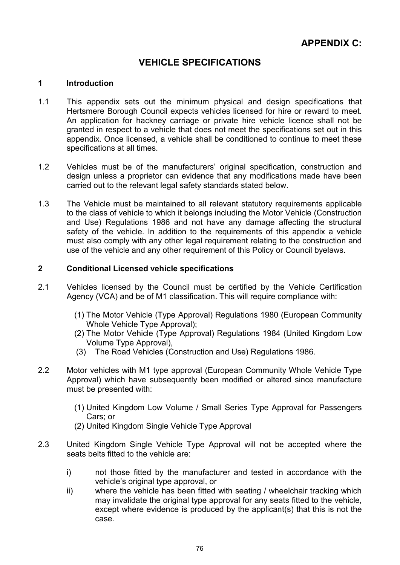# VEHICLE SPECIFICATIONS

# 1 Introduction

- 1.1 This appendix sets out the minimum physical and design specifications that Hertsmere Borough Council expects vehicles licensed for hire or reward to meet. An application for hackney carriage or private hire vehicle licence shall not be granted in respect to a vehicle that does not meet the specifications set out in this appendix. Once licensed, a vehicle shall be conditioned to continue to meet these specifications at all times.
- 1.2 Vehicles must be of the manufacturers' original specification, construction and design unless a proprietor can evidence that any modifications made have been carried out to the relevant legal safety standards stated below.
- 1.3 The Vehicle must be maintained to all relevant statutory requirements applicable to the class of vehicle to which it belongs including the Motor Vehicle (Construction and Use) Regulations 1986 and not have any damage affecting the structural safety of the vehicle. In addition to the requirements of this appendix a vehicle must also comply with any other legal requirement relating to the construction and use of the vehicle and any other requirement of this Policy or Council byelaws.

# 2 Conditional Licensed vehicle specifications

- 2.1 Vehicles licensed by the Council must be certified by the Vehicle Certification Agency (VCA) and be of M1 classification. This will require compliance with:
	- (1) The Motor Vehicle (Type Approval) Regulations 1980 (European Community Whole Vehicle Type Approval);
	- (2) The Motor Vehicle (Type Approval) Regulations 1984 (United Kingdom Low Volume Type Approval),
	- (3) The Road Vehicles (Construction and Use) Regulations 1986.
- 2.2 Motor vehicles with M1 type approval (European Community Whole Vehicle Type Approval) which have subsequently been modified or altered since manufacture must be presented with:
	- (1) United Kingdom Low Volume / Small Series Type Approval for Passengers Cars; or
	- (2) United Kingdom Single Vehicle Type Approval
- 2.3 United Kingdom Single Vehicle Type Approval will not be accepted where the seats belts fitted to the vehicle are:
	- i) not those fitted by the manufacturer and tested in accordance with the vehicle's original type approval, or
	- ii) where the vehicle has been fitted with seating / wheelchair tracking which may invalidate the original type approval for any seats fitted to the vehicle, except where evidence is produced by the applicant(s) that this is not the case.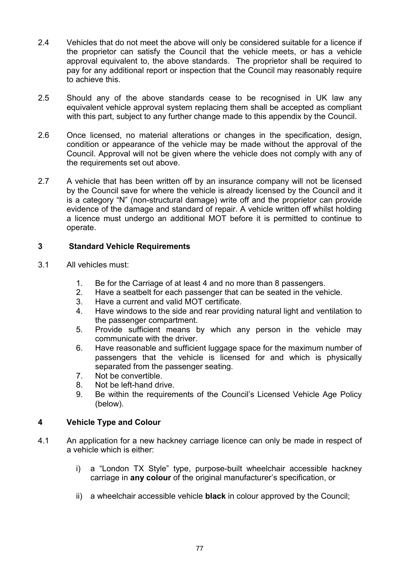- 2.4 Vehicles that do not meet the above will only be considered suitable for a licence if the proprietor can satisfy the Council that the vehicle meets, or has a vehicle approval equivalent to, the above standards. The proprietor shall be required to pay for any additional report or inspection that the Council may reasonably require to achieve this.
- 2.5 Should any of the above standards cease to be recognised in UK law any equivalent vehicle approval system replacing them shall be accepted as compliant with this part, subject to any further change made to this appendix by the Council.
- 2.6 Once licensed, no material alterations or changes in the specification, design, condition or appearance of the vehicle may be made without the approval of the Council. Approval will not be given where the vehicle does not comply with any of the requirements set out above.
- 2.7 A vehicle that has been written off by an insurance company will not be licensed by the Council save for where the vehicle is already licensed by the Council and it is a category "N" (non-structural damage) write off and the proprietor can provide evidence of the damage and standard of repair. A vehicle written off whilst holding a licence must undergo an additional MOT before it is permitted to continue to operate.

# 3 Standard Vehicle Requirements

- 3.1 All vehicles must:
	- 1. Be for the Carriage of at least 4 and no more than 8 passengers.
	- 2. Have a seatbelt for each passenger that can be seated in the vehicle.
	- 3. Have a current and valid MOT certificate.
	- 4. Have windows to the side and rear providing natural light and ventilation to the passenger compartment.
	- 5. Provide sufficient means by which any person in the vehicle may communicate with the driver.
	- 6. Have reasonable and sufficient luggage space for the maximum number of passengers that the vehicle is licensed for and which is physically separated from the passenger seating.
	- 7. Not be convertible.
	- 8. Not be left-hand drive.
	- 9. Be within the requirements of the Council's Licensed Vehicle Age Policy (below).

# 4 Vehicle Type and Colour

- 4.1 An application for a new hackney carriage licence can only be made in respect of a vehicle which is either:
	- i) a "London TX Style" type, purpose-built wheelchair accessible hackney carriage in any colour of the original manufacturer's specification, or
	- ii) a wheelchair accessible vehicle **black** in colour approved by the Council;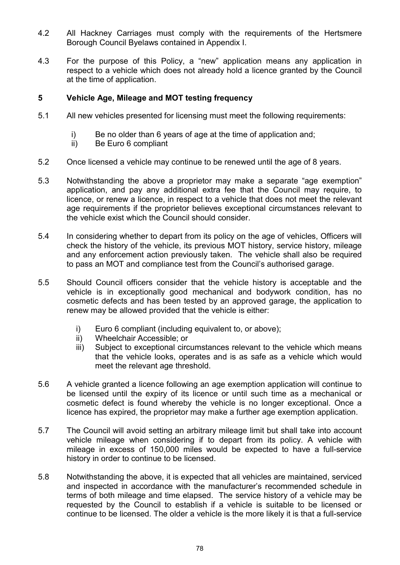- 4.2 All Hackney Carriages must comply with the requirements of the Hertsmere Borough Council Byelaws contained in Appendix I.
- 4.3 For the purpose of this Policy, a "new" application means any application in respect to a vehicle which does not already hold a licence granted by the Council at the time of application.

# 5 Vehicle Age, Mileage and MOT testing frequency

- 5.1 All new vehicles presented for licensing must meet the following requirements:
	- i) Be no older than 6 years of age at the time of application and;
	- ii) Be Euro 6 compliant
- 5.2 Once licensed a vehicle may continue to be renewed until the age of 8 years.
- 5.3 Notwithstanding the above a proprietor may make a separate "age exemption" application, and pay any additional extra fee that the Council may require, to licence, or renew a licence, in respect to a vehicle that does not meet the relevant age requirements if the proprietor believes exceptional circumstances relevant to the vehicle exist which the Council should consider.
- 5.4 In considering whether to depart from its policy on the age of vehicles, Officers will check the history of the vehicle, its previous MOT history, service history, mileage and any enforcement action previously taken. The vehicle shall also be required to pass an MOT and compliance test from the Council's authorised garage.
- 5.5 Should Council officers consider that the vehicle history is acceptable and the vehicle is in exceptionally good mechanical and bodywork condition, has no cosmetic defects and has been tested by an approved garage, the application to renew may be allowed provided that the vehicle is either:
	- i) Euro 6 compliant (including equivalent to, or above);
	- ii) Wheelchair Accessible; or
	- iii) Subject to exceptional circumstances relevant to the vehicle which means that the vehicle looks, operates and is as safe as a vehicle which would meet the relevant age threshold.
- 5.6 A vehicle granted a licence following an age exemption application will continue to be licensed until the expiry of its licence or until such time as a mechanical or cosmetic defect is found whereby the vehicle is no longer exceptional. Once a licence has expired, the proprietor may make a further age exemption application.
- 5.7 The Council will avoid setting an arbitrary mileage limit but shall take into account vehicle mileage when considering if to depart from its policy. A vehicle with mileage in excess of 150,000 miles would be expected to have a full-service history in order to continue to be licensed.
- 5.8 Notwithstanding the above, it is expected that all vehicles are maintained, serviced and inspected in accordance with the manufacturer's recommended schedule in terms of both mileage and time elapsed. The service history of a vehicle may be requested by the Council to establish if a vehicle is suitable to be licensed or continue to be licensed. The older a vehicle is the more likely it is that a full-service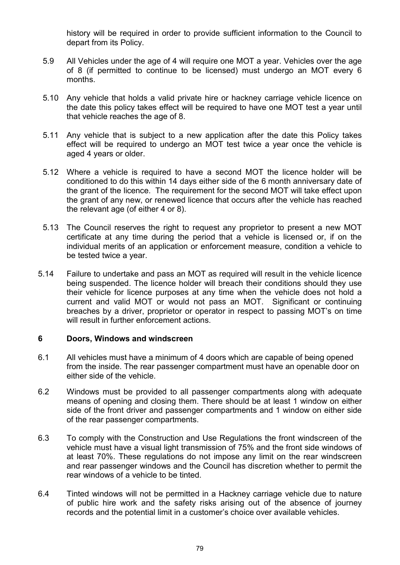history will be required in order to provide sufficient information to the Council to depart from its Policy.

- 5.9 All Vehicles under the age of 4 will require one MOT a year. Vehicles over the age of 8 (if permitted to continue to be licensed) must undergo an MOT every 6 months.
- 5.10 Any vehicle that holds a valid private hire or hackney carriage vehicle licence on the date this policy takes effect will be required to have one MOT test a year until that vehicle reaches the age of 8.
- 5.11 Any vehicle that is subject to a new application after the date this Policy takes effect will be required to undergo an MOT test twice a year once the vehicle is aged 4 years or older.
- 5.12 Where a vehicle is required to have a second MOT the licence holder will be conditioned to do this within 14 days either side of the 6 month anniversary date of the grant of the licence. The requirement for the second MOT will take effect upon the grant of any new, or renewed licence that occurs after the vehicle has reached the relevant age (of either 4 or 8).
- 5.13 The Council reserves the right to request any proprietor to present a new MOT certificate at any time during the period that a vehicle is licensed or, if on the individual merits of an application or enforcement measure, condition a vehicle to be tested twice a year.
- 5.14 Failure to undertake and pass an MOT as required will result in the vehicle licence being suspended. The licence holder will breach their conditions should they use their vehicle for licence purposes at any time when the vehicle does not hold a current and valid MOT or would not pass an MOT. Significant or continuing breaches by a driver, proprietor or operator in respect to passing MOT's on time will result in further enforcement actions.

## 6 Doors, Windows and windscreen

- 6.1 All vehicles must have a minimum of 4 doors which are capable of being opened from the inside. The rear passenger compartment must have an openable door on either side of the vehicle.
- 6.2 Windows must be provided to all passenger compartments along with adequate means of opening and closing them. There should be at least 1 window on either side of the front driver and passenger compartments and 1 window on either side of the rear passenger compartments.
- 6.3 To comply with the Construction and Use Regulations the front windscreen of the vehicle must have a visual light transmission of 75% and the front side windows of at least 70%. These regulations do not impose any limit on the rear windscreen and rear passenger windows and the Council has discretion whether to permit the rear windows of a vehicle to be tinted.
- 6.4 Tinted windows will not be permitted in a Hackney carriage vehicle due to nature of public hire work and the safety risks arising out of the absence of journey records and the potential limit in a customer's choice over available vehicles.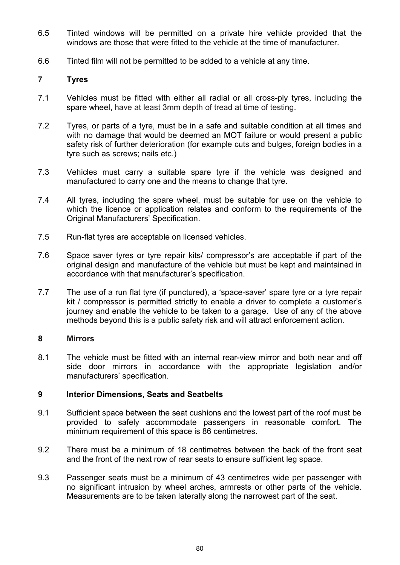- 6.5 Tinted windows will be permitted on a private hire vehicle provided that the windows are those that were fitted to the vehicle at the time of manufacturer.
- 6.6 Tinted film will not be permitted to be added to a vehicle at any time.

### 7 Tyres

- 7.1 Vehicles must be fitted with either all radial or all cross-ply tyres, including the spare wheel, have at least 3mm depth of tread at time of testing.
- 7.2 Tyres, or parts of a tyre, must be in a safe and suitable condition at all times and with no damage that would be deemed an MOT failure or would present a public safety risk of further deterioration (for example cuts and bulges, foreign bodies in a tyre such as screws; nails etc.)
- 7.3 Vehicles must carry a suitable spare tyre if the vehicle was designed and manufactured to carry one and the means to change that tyre.
- 7.4 All tyres, including the spare wheel, must be suitable for use on the vehicle to which the licence or application relates and conform to the requirements of the Original Manufacturers' Specification.
- 7.5 Run-flat tyres are acceptable on licensed vehicles.
- 7.6 Space saver tyres or tyre repair kits/ compressor's are acceptable if part of the original design and manufacture of the vehicle but must be kept and maintained in accordance with that manufacturer's specification.
- 7.7 The use of a run flat tyre (if punctured), a 'space-saver' spare tyre or a tyre repair kit / compressor is permitted strictly to enable a driver to complete a customer's journey and enable the vehicle to be taken to a garage. Use of any of the above methods beyond this is a public safety risk and will attract enforcement action.

### 8 Mirrors

8.1 The vehicle must be fitted with an internal rear-view mirror and both near and off side door mirrors in accordance with the appropriate legislation and/or manufacturers' specification.

### 9 Interior Dimensions, Seats and Seatbelts

- 9.1 Sufficient space between the seat cushions and the lowest part of the roof must be provided to safely accommodate passengers in reasonable comfort. The minimum requirement of this space is 86 centimetres.
- 9.2 There must be a minimum of 18 centimetres between the back of the front seat and the front of the next row of rear seats to ensure sufficient leg space.
- 9.3 Passenger seats must be a minimum of 43 centimetres wide per passenger with no significant intrusion by wheel arches, armrests or other parts of the vehicle. Measurements are to be taken laterally along the narrowest part of the seat.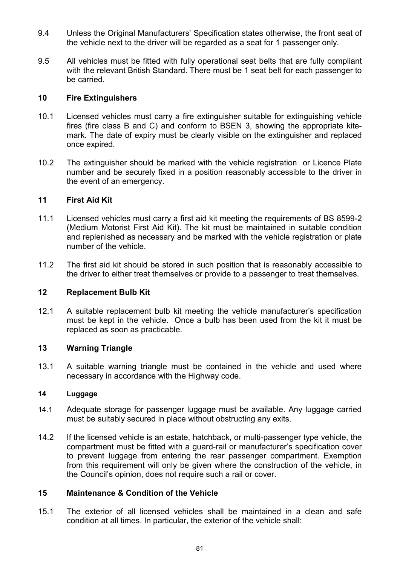- 9.4 Unless the Original Manufacturers' Specification states otherwise, the front seat of the vehicle next to the driver will be regarded as a seat for 1 passenger only.
- 9.5 All vehicles must be fitted with fully operational seat belts that are fully compliant with the relevant British Standard. There must be 1 seat belt for each passenger to be carried.

### 10 Fire Extinguishers

- 10.1 Licensed vehicles must carry a fire extinguisher suitable for extinguishing vehicle fires (fire class B and C) and conform to BSEN 3, showing the appropriate kitemark. The date of expiry must be clearly visible on the extinguisher and replaced once expired.
- 10.2 The extinguisher should be marked with the vehicle registration or Licence Plate number and be securely fixed in a position reasonably accessible to the driver in the event of an emergency.

### 11 First Aid Kit

- 11.1 Licensed vehicles must carry a first aid kit meeting the requirements of BS 8599-2 (Medium Motorist First Aid Kit). The kit must be maintained in suitable condition and replenished as necessary and be marked with the vehicle registration or plate number of the vehicle.
- 11.2 The first aid kit should be stored in such position that is reasonably accessible to the driver to either treat themselves or provide to a passenger to treat themselves.

#### 12 Replacement Bulb Kit

12.1 A suitable replacement bulb kit meeting the vehicle manufacturer's specification must be kept in the vehicle. Once a bulb has been used from the kit it must be replaced as soon as practicable.

### 13 Warning Triangle

13.1 A suitable warning triangle must be contained in the vehicle and used where necessary in accordance with the Highway code.

#### 14 Luggage

- 14.1 Adequate storage for passenger luggage must be available. Any luggage carried must be suitably secured in place without obstructing any exits.
- 14.2 If the licensed vehicle is an estate, hatchback, or multi-passenger type vehicle, the compartment must be fitted with a guard-rail or manufacturer's specification cover to prevent luggage from entering the rear passenger compartment. Exemption from this requirement will only be given where the construction of the vehicle, in the Council's opinion, does not require such a rail or cover.

### 15 Maintenance & Condition of the Vehicle

15.1 The exterior of all licensed vehicles shall be maintained in a clean and safe condition at all times. In particular, the exterior of the vehicle shall: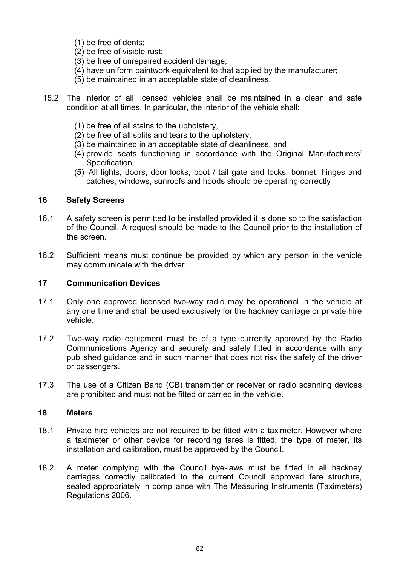- (1) be free of dents;
- (2) be free of visible rust;
- (3) be free of unrepaired accident damage;
- (4) have uniform paintwork equivalent to that applied by the manufacturer;
- (5) be maintained in an acceptable state of cleanliness,
- 15.2 The interior of all licensed vehicles shall be maintained in a clean and safe condition at all times. In particular, the interior of the vehicle shall:
	- (1) be free of all stains to the upholstery,
	- (2) be free of all splits and tears to the upholstery,
	- (3) be maintained in an acceptable state of cleanliness, and
	- (4) provide seats functioning in accordance with the Original Manufacturers' Specification.
	- (5) All lights, doors, door locks, boot / tail gate and locks, bonnet, hinges and catches, windows, sunroofs and hoods should be operating correctly

### 16 Safety Screens

- 16.1 A safety screen is permitted to be installed provided it is done so to the satisfaction of the Council. A request should be made to the Council prior to the installation of the screen.
- 16.2 Sufficient means must continue be provided by which any person in the vehicle may communicate with the driver.

### 17 Communication Devices

- 17.1 Only one approved licensed two-way radio may be operational in the vehicle at any one time and shall be used exclusively for the hackney carriage or private hire vehicle.
- 17.2 Two-way radio equipment must be of a type currently approved by the Radio Communications Agency and securely and safely fitted in accordance with any published guidance and in such manner that does not risk the safety of the driver or passengers.
- 17.3 The use of a Citizen Band (CB) transmitter or receiver or radio scanning devices are prohibited and must not be fitted or carried in the vehicle.

### 18 Meters

- 18.1 Private hire vehicles are not required to be fitted with a taximeter. However where a taximeter or other device for recording fares is fitted, the type of meter, its installation and calibration, must be approved by the Council.
- 18.2 A meter complying with the Council bye-laws must be fitted in all hackney carriages correctly calibrated to the current Council approved fare structure, sealed appropriately in compliance with The Measuring Instruments (Taximeters) Regulations 2006.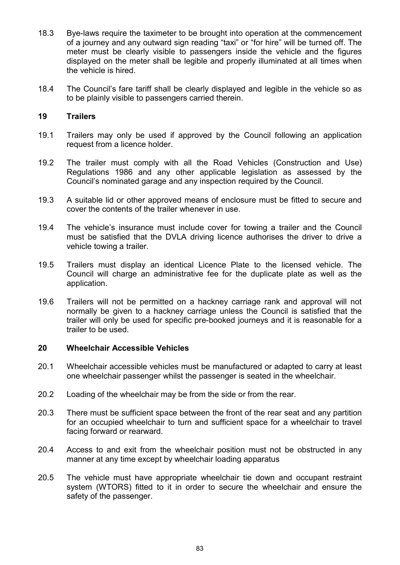- 18.3 Bye-laws require the taximeter to be brought into operation at the commencement of a journey and any outward sign reading "taxi" or "for hire" will be turned off. The meter must be clearly visible to passengers inside the vehicle and the figures displayed on the meter shall be legible and properly illuminated at all times when the vehicle is hired.
- 18.4 The Council's fare tariff shall be clearly displayed and legible in the vehicle so as to be plainly visible to passengers carried therein.

# 19 Trailers

- 19.1 Trailers may only be used if approved by the Council following an application request from a licence holder.
- 19.2 The trailer must comply with all the Road Vehicles (Construction and Use) Regulations 1986 and any other applicable legislation as assessed by the Council's nominated garage and any inspection required by the Council.
- 19.3 A suitable lid or other approved means of enclosure must be fitted to secure and cover the contents of the trailer whenever in use.
- 19.4 The vehicle's insurance must include cover for towing a trailer and the Council must be satisfied that the DVLA driving licence authorises the driver to drive a vehicle towing a trailer.
- 19.5 Trailers must display an identical Licence Plate to the licensed vehicle. The Council will charge an administrative fee for the duplicate plate as well as the application.
- 19.6 Trailers will not be permitted on a hackney carriage rank and approval will not normally be given to a hackney carriage unless the Council is satisfied that the trailer will only be used for specific pre-booked journeys and it is reasonable for a trailer to be used.

### 20 Wheelchair Accessible Vehicles

- 20.1 Wheelchair accessible vehicles must be manufactured or adapted to carry at least one wheelchair passenger whilst the passenger is seated in the wheelchair.
- 20.2 Loading of the wheelchair may be from the side or from the rear.
- 20.3 There must be sufficient space between the front of the rear seat and any partition for an occupied wheelchair to turn and sufficient space for a wheelchair to travel facing forward or rearward.
- 20.4 Access to and exit from the wheelchair position must not be obstructed in any manner at any time except by wheelchair loading apparatus
- 20.5 The vehicle must have appropriate wheelchair tie down and occupant restraint system (WTORS) fitted to it in order to secure the wheelchair and ensure the safety of the passenger.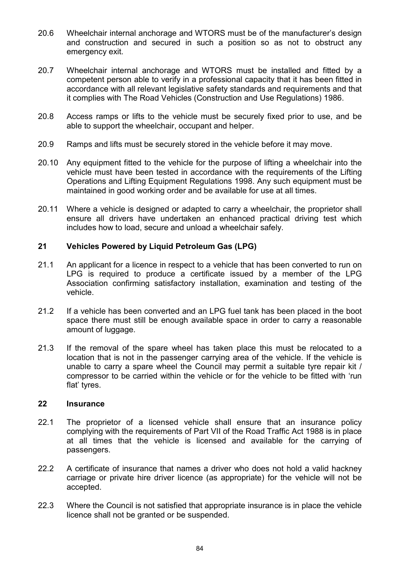- 20.6 Wheelchair internal anchorage and WTORS must be of the manufacturer's design and construction and secured in such a position so as not to obstruct any emergency exit.
- 20.7 Wheelchair internal anchorage and WTORS must be installed and fitted by a competent person able to verify in a professional capacity that it has been fitted in accordance with all relevant legislative safety standards and requirements and that it complies with The Road Vehicles (Construction and Use Regulations) 1986.
- 20.8 Access ramps or lifts to the vehicle must be securely fixed prior to use, and be able to support the wheelchair, occupant and helper.
- 20.9 Ramps and lifts must be securely stored in the vehicle before it may move.
- 20.10 Any equipment fitted to the vehicle for the purpose of lifting a wheelchair into the vehicle must have been tested in accordance with the requirements of the Lifting Operations and Lifting Equipment Regulations 1998. Any such equipment must be maintained in good working order and be available for use at all times.
- 20.11 Where a vehicle is designed or adapted to carry a wheelchair, the proprietor shall ensure all drivers have undertaken an enhanced practical driving test which includes how to load, secure and unload a wheelchair safely.

# 21 Vehicles Powered by Liquid Petroleum Gas (LPG)

- 21.1 An applicant for a licence in respect to a vehicle that has been converted to run on LPG is required to produce a certificate issued by a member of the LPG Association confirming satisfactory installation, examination and testing of the vehicle.
- 21.2 If a vehicle has been converted and an LPG fuel tank has been placed in the boot space there must still be enough available space in order to carry a reasonable amount of luggage.
- 21.3 If the removal of the spare wheel has taken place this must be relocated to a location that is not in the passenger carrying area of the vehicle. If the vehicle is unable to carry a spare wheel the Council may permit a suitable tyre repair kit / compressor to be carried within the vehicle or for the vehicle to be fitted with 'run flat' tyres.

#### 22 Insurance

- 22.1 The proprietor of a licensed vehicle shall ensure that an insurance policy complying with the requirements of Part VII of the Road Traffic Act 1988 is in place at all times that the vehicle is licensed and available for the carrying of passengers.
- 22.2 A certificate of insurance that names a driver who does not hold a valid hackney carriage or private hire driver licence (as appropriate) for the vehicle will not be accepted.
- 22.3 Where the Council is not satisfied that appropriate insurance is in place the vehicle licence shall not be granted or be suspended.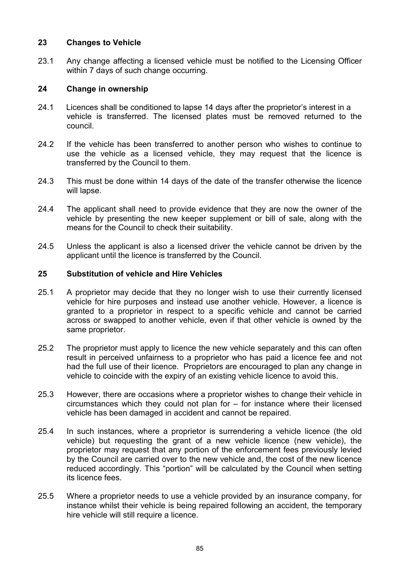# 23 Changes to Vehicle

23.1 Any change affecting a licensed vehicle must be notified to the Licensing Officer within 7 days of such change occurring.

# 24 Change in ownership

- 24.1 Licences shall be conditioned to lapse 14 days after the proprietor's interest in a vehicle is transferred. The licensed plates must be removed returned to the council.
- 24.2 If the vehicle has been transferred to another person who wishes to continue to use the vehicle as a licensed vehicle, they may request that the licence is transferred by the Council to them.
- 24.3 This must be done within 14 days of the date of the transfer otherwise the licence will lapse.
- 24.4 The applicant shall need to provide evidence that they are now the owner of the vehicle by presenting the new keeper supplement or bill of sale, along with the means for the Council to check their suitability.
- 24.5 Unless the applicant is also a licensed driver the vehicle cannot be driven by the applicant until the licence is transferred by the Council.

### 25 Substitution of vehicle and Hire Vehicles

- 25.1 A proprietor may decide that they no longer wish to use their currently licensed vehicle for hire purposes and instead use another vehicle. However, a licence is granted to a proprietor in respect to a specific vehicle and cannot be carried across or swapped to another vehicle, even if that other vehicle is owned by the same proprietor.
- 25.2 The proprietor must apply to licence the new vehicle separately and this can often result in perceived unfairness to a proprietor who has paid a licence fee and not had the full use of their licence. Proprietors are encouraged to plan any change in vehicle to coincide with the expiry of an existing vehicle licence to avoid this.
- 25.3 However, there are occasions where a proprietor wishes to change their vehicle in circumstances which they could not plan for – for instance where their licensed vehicle has been damaged in accident and cannot be repaired.
- 25.4 In such instances, where a proprietor is surrendering a vehicle licence (the old vehicle) but requesting the grant of a new vehicle licence (new vehicle), the proprietor may request that any portion of the enforcement fees previously levied by the Council are carried over to the new vehicle and, the cost of the new licence reduced accordingly. This "portion" will be calculated by the Council when setting its licence fees.
- 25.5 Where a proprietor needs to use a vehicle provided by an insurance company, for instance whilst their vehicle is being repaired following an accident, the temporary hire vehicle will still require a licence.